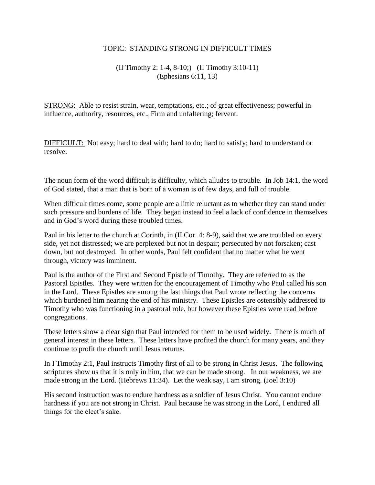## TOPIC: STANDING STRONG IN DIFFICULT TIMES

## (II Timothy 2: 1-4, 8-10;) (II Timothy 3:10-11) (Ephesians 6:11, 13)

STRONG: Able to resist strain, wear, temptations, etc.; of great effectiveness; powerful in influence, authority, resources, etc., Firm and unfaltering; fervent.

DIFFICULT: Not easy; hard to deal with; hard to do; hard to satisfy; hard to understand or resolve.

The noun form of the word difficult is difficulty, which alludes to trouble. In Job 14:1, the word of God stated, that a man that is born of a woman is of few days, and full of trouble.

When difficult times come, some people are a little reluctant as to whether they can stand under such pressure and burdens of life. They began instead to feel a lack of confidence in themselves and in God's word during these troubled times.

Paul in his letter to the church at Corinth, in (II Cor. 4: 8-9), said that we are troubled on every side, yet not distressed; we are perplexed but not in despair; persecuted by not forsaken; cast down, but not destroyed. In other words, Paul felt confident that no matter what he went through, victory was imminent.

Paul is the author of the First and Second Epistle of Timothy. They are referred to as the Pastoral Epistles. They were written for the encouragement of Timothy who Paul called his son in the Lord. These Epistles are among the last things that Paul wrote reflecting the concerns which burdened him nearing the end of his ministry. These Epistles are ostensibly addressed to Timothy who was functioning in a pastoral role, but however these Epistles were read before congregations.

These letters show a clear sign that Paul intended for them to be used widely. There is much of general interest in these letters. These letters have profited the church for many years, and they continue to profit the church until Jesus returns.

In I Timothy 2:1, Paul instructs Timothy first of all to be strong in Christ Jesus. The following scriptures show us that it is only in him, that we can be made strong. In our weakness, we are made strong in the Lord. (Hebrews 11:34). Let the weak say, I am strong. (Joel 3:10)

His second instruction was to endure hardness as a soldier of Jesus Christ. You cannot endure hardness if you are not strong in Christ. Paul because he was strong in the Lord, I endured all things for the elect's sake.